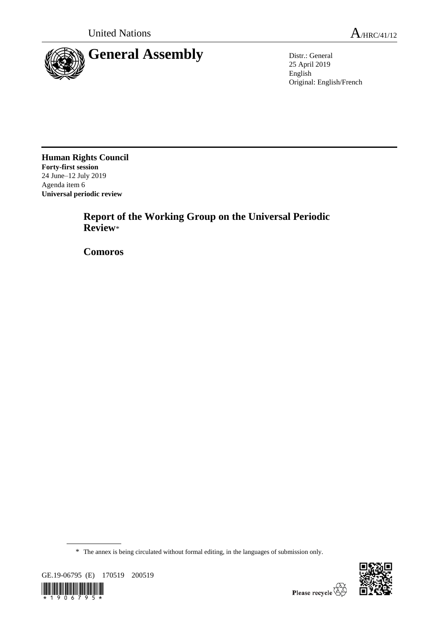

25 April 2019 English Original: English/French

**Human Rights Council Forty-first session** 24 June–12 July 2019 Agenda item 6 **Universal periodic review**

> **Report of the Working Group on the Universal Periodic Review**\*

**Comoros**

\* The annex is being circulated without formal editing, in the languages of submission only.



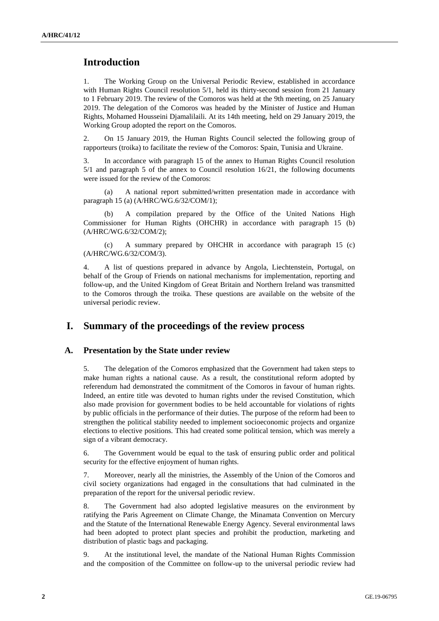# **Introduction**

1. The Working Group on the Universal Periodic Review, established in accordance with Human Rights Council resolution 5/1, held its thirty-second session from 21 January to 1 February 2019. The review of the Comoros was held at the 9th meeting, on 25 January 2019. The delegation of the Comoros was headed by the Minister of Justice and Human Rights, Mohamed Housseini Djamalilaili. At its 14th meeting, held on 29 January 2019, the Working Group adopted the report on the Comoros.

2. On 15 January 2019, the Human Rights Council selected the following group of rapporteurs (troika) to facilitate the review of the Comoros: Spain, Tunisia and Ukraine.

3. In accordance with paragraph 15 of the annex to Human Rights Council resolution 5/1 and paragraph 5 of the annex to Council resolution 16/21, the following documents were issued for the review of the Comoros:

(a) A national report submitted/written presentation made in accordance with paragraph 15 (a) (A/HRC/WG.6/32/COM/1);

A compilation prepared by the Office of the United Nations High Commissioner for Human Rights (OHCHR) in accordance with paragraph 15 (b) (A/HRC/WG.6/32/COM/2);

(c) A summary prepared by OHCHR in accordance with paragraph 15 (c) (A/HRC/WG.6/32/COM/3).

4. A list of questions prepared in advance by Angola, Liechtenstein, Portugal, on behalf of the Group of Friends on national mechanisms for implementation, reporting and follow-up, and the United Kingdom of Great Britain and Northern Ireland was transmitted to the Comoros through the troika. These questions are available on the website of the universal periodic review.

## **I. Summary of the proceedings of the review process**

#### **A. Presentation by the State under review**

5. The delegation of the Comoros emphasized that the Government had taken steps to make human rights a national cause. As a result, the constitutional reform adopted by referendum had demonstrated the commitment of the Comoros in favour of human rights. Indeed, an entire title was devoted to human rights under the revised Constitution, which also made provision for government bodies to be held accountable for violations of rights by public officials in the performance of their duties. The purpose of the reform had been to strengthen the political stability needed to implement socioeconomic projects and organize elections to elective positions. This had created some political tension, which was merely a sign of a vibrant democracy.

6. The Government would be equal to the task of ensuring public order and political security for the effective enjoyment of human rights.

7. Moreover, nearly all the ministries, the Assembly of the Union of the Comoros and civil society organizations had engaged in the consultations that had culminated in the preparation of the report for the universal periodic review.

8. The Government had also adopted legislative measures on the environment by ratifying the Paris Agreement on Climate Change, the Minamata Convention on Mercury and the Statute of the International Renewable Energy Agency. Several environmental laws had been adopted to protect plant species and prohibit the production, marketing and distribution of plastic bags and packaging.

9. At the institutional level, the mandate of the National Human Rights Commission and the composition of the Committee on follow-up to the universal periodic review had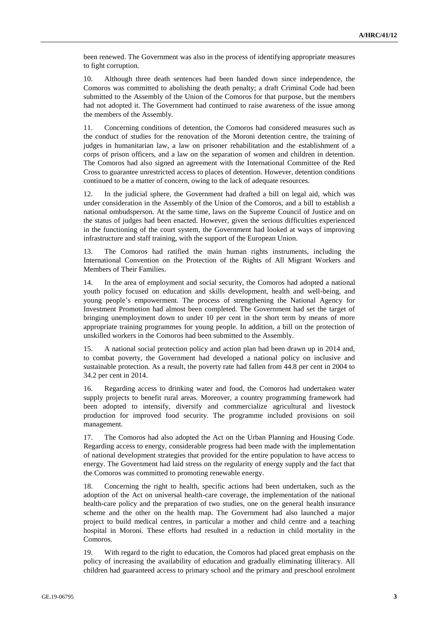been renewed. The Government was also in the process of identifying appropriate measures to fight corruption.

10. Although three death sentences had been handed down since independence, the Comoros was committed to abolishing the death penalty; a draft Criminal Code had been submitted to the Assembly of the Union of the Comoros for that purpose, but the members had not adopted it. The Government had continued to raise awareness of the issue among the members of the Assembly.

11. Concerning conditions of detention, the Comoros had considered measures such as the conduct of studies for the renovation of the Moroni detention centre, the training of judges in humanitarian law, a law on prisoner rehabilitation and the establishment of a corps of prison officers, and a law on the separation of women and children in detention. The Comoros had also signed an agreement with the International Committee of the Red Cross to guarantee unrestricted access to places of detention. However, detention conditions continued to be a matter of concern, owing to the lack of adequate resources.

12. In the judicial sphere, the Government had drafted a bill on legal aid, which was under consideration in the Assembly of the Union of the Comoros, and a bill to establish a national ombudsperson. At the same time, laws on the Supreme Council of Justice and on the status of judges had been enacted. However, given the serious difficulties experienced in the functioning of the court system, the Government had looked at ways of improving infrastructure and staff training, with the support of the European Union.

13. The Comoros had ratified the main human rights instruments, including the International Convention on the Protection of the Rights of All Migrant Workers and Members of Their Families.

14. In the area of employment and social security, the Comoros had adopted a national youth policy focused on education and skills development, health and well-being, and young people's empowerment. The process of strengthening the National Agency for Investment Promotion had almost been completed. The Government had set the target of bringing unemployment down to under 10 per cent in the short term by means of more appropriate training programmes for young people. In addition, a bill on the protection of unskilled workers in the Comoros had been submitted to the Assembly.

15. A national social protection policy and action plan had been drawn up in 2014 and, to combat poverty, the Government had developed a national policy on inclusive and sustainable protection. As a result, the poverty rate had fallen from 44.8 per cent in 2004 to 34.2 per cent in 2014.

16. Regarding access to drinking water and food, the Comoros had undertaken water supply projects to benefit rural areas. Moreover, a country programming framework had been adopted to intensify, diversify and commercialize agricultural and livestock production for improved food security. The programme included provisions on soil management.

17. The Comoros had also adopted the Act on the Urban Planning and Housing Code. Regarding access to energy, considerable progress had been made with the implementation of national development strategies that provided for the entire population to have access to energy. The Government had laid stress on the regularity of energy supply and the fact that the Comoros was committed to promoting renewable energy.

18. Concerning the right to health, specific actions had been undertaken, such as the adoption of the Act on universal health-care coverage, the implementation of the national health-care policy and the preparation of two studies, one on the general health insurance scheme and the other on the health map. The Government had also launched a major project to build medical centres, in particular a mother and child centre and a teaching hospital in Moroni. These efforts had resulted in a reduction in child mortality in the Comoros.

19. With regard to the right to education, the Comoros had placed great emphasis on the policy of increasing the availability of education and gradually eliminating illiteracy. All children had guaranteed access to primary school and the primary and preschool enrolment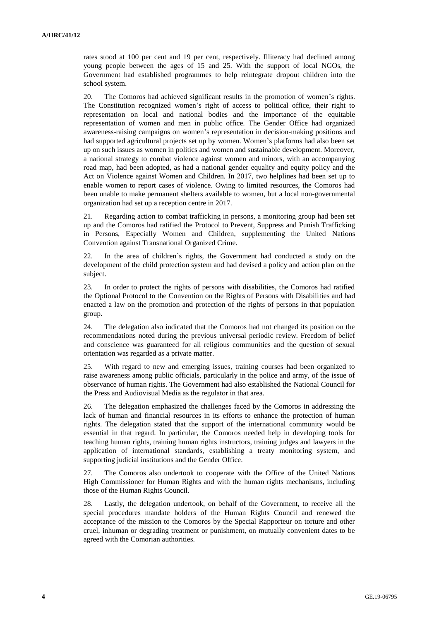rates stood at 100 per cent and 19 per cent, respectively. Illiteracy had declined among young people between the ages of 15 and 25. With the support of local NGOs, the Government had established programmes to help reintegrate dropout children into the school system.

20. The Comoros had achieved significant results in the promotion of women's rights. The Constitution recognized women's right of access to political office, their right to representation on local and national bodies and the importance of the equitable representation of women and men in public office. The Gender Office had organized awareness-raising campaigns on women's representation in decision-making positions and had supported agricultural projects set up by women. Women's platforms had also been set up on such issues as women in politics and women and sustainable development. Moreover, a national strategy to combat violence against women and minors, with an accompanying road map, had been adopted, as had a national gender equality and equity policy and the Act on Violence against Women and Children. In 2017, two helplines had been set up to enable women to report cases of violence. Owing to limited resources, the Comoros had been unable to make permanent shelters available to women, but a local non-governmental organization had set up a reception centre in 2017.

21. Regarding action to combat trafficking in persons, a monitoring group had been set up and the Comoros had ratified the Protocol to Prevent, Suppress and Punish Trafficking in Persons, Especially Women and Children, supplementing the United Nations Convention against Transnational Organized Crime.

22. In the area of children's rights, the Government had conducted a study on the development of the child protection system and had devised a policy and action plan on the subject.

23. In order to protect the rights of persons with disabilities, the Comoros had ratified the Optional Protocol to the Convention on the Rights of Persons with Disabilities and had enacted a law on the promotion and protection of the rights of persons in that population group.

24. The delegation also indicated that the Comoros had not changed its position on the recommendations noted during the previous universal periodic review. Freedom of belief and conscience was guaranteed for all religious communities and the question of sexual orientation was regarded as a private matter.

25. With regard to new and emerging issues, training courses had been organized to raise awareness among public officials, particularly in the police and army, of the issue of observance of human rights. The Government had also established the National Council for the Press and Audiovisual Media as the regulator in that area.

26. The delegation emphasized the challenges faced by the Comoros in addressing the lack of human and financial resources in its efforts to enhance the protection of human rights. The delegation stated that the support of the international community would be essential in that regard. In particular, the Comoros needed help in developing tools for teaching human rights, training human rights instructors, training judges and lawyers in the application of international standards, establishing a treaty monitoring system, and supporting judicial institutions and the Gender Office.

27. The Comoros also undertook to cooperate with the Office of the United Nations High Commissioner for Human Rights and with the human rights mechanisms, including those of the Human Rights Council.

28. Lastly, the delegation undertook, on behalf of the Government, to receive all the special procedures mandate holders of the Human Rights Council and renewed the acceptance of the mission to the Comoros by the Special Rapporteur on torture and other cruel, inhuman or degrading treatment or punishment, on mutually convenient dates to be agreed with the Comorian authorities.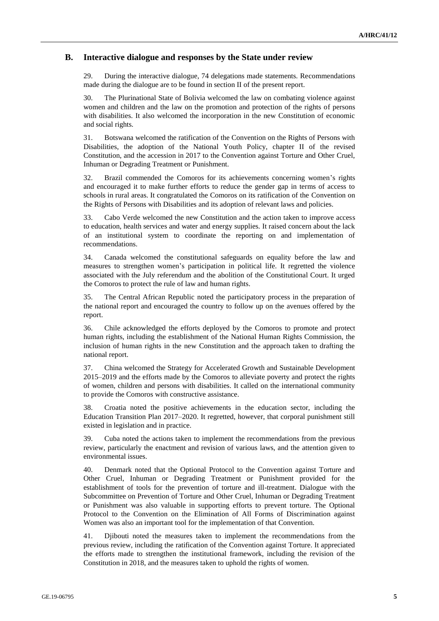### **B. Interactive dialogue and responses by the State under review**

29. During the interactive dialogue, 74 delegations made statements. Recommendations made during the dialogue are to be found in section II of the present report.

30. The Plurinational State of Bolivia welcomed the law on combating violence against women and children and the law on the promotion and protection of the rights of persons with disabilities. It also welcomed the incorporation in the new Constitution of economic and social rights.

31. Botswana welcomed the ratification of the Convention on the Rights of Persons with Disabilities, the adoption of the National Youth Policy, chapter II of the revised Constitution, and the accession in 2017 to the Convention against Torture and Other Cruel, Inhuman or Degrading Treatment or Punishment.

32. Brazil commended the Comoros for its achievements concerning women's rights and encouraged it to make further efforts to reduce the gender gap in terms of access to schools in rural areas. It congratulated the Comoros on its ratification of the [Convention on](https://www.ohchr.org/EN/HRBodies/CRPD/Pages/ConventionRightsPersonsWithDisabilities.aspx)  [the Rights of Persons with Disabilities](https://www.ohchr.org/EN/HRBodies/CRPD/Pages/ConventionRightsPersonsWithDisabilities.aspx) and its adoption of relevant laws and policies.

33. Cabo Verde welcomed the new Constitution and the action taken to improve access to education, health services and water and energy supplies. It raised concern about the lack of an institutional system to coordinate the reporting on and implementation of recommendations.

34. Canada welcomed the constitutional safeguards on equality before the law and measures to strengthen women's participation in political life. It regretted the violence associated with the July referendum and the abolition of the Constitutional Court. It urged the Comoros to protect the rule of law and human rights.

35. The Central African Republic noted the participatory process in the preparation of the national report and encouraged the country to follow up on the avenues offered by the report.

36. Chile acknowledged the efforts deployed by the Comoros to promote and protect human rights, including the establishment of the National Human Rights Commission, the inclusion of human rights in the new Constitution and the approach taken to drafting the national report.

37. China welcomed the Strategy for Accelerated Growth and Sustainable Development 2015–2019 and the efforts made by the Comoros to alleviate poverty and protect the rights of women, children and persons with disabilities. It called on the international community to provide the Comoros with constructive assistance.

38. Croatia noted the positive achievements in the education sector, including the Education Transition Plan 2017–2020. It regretted, however, that corporal punishment still existed in legislation and in practice.

39. Cuba noted the actions taken to implement the recommendations from the previous review, particularly the enactment and revision of various laws, and the attention given to environmental issues.

40. Denmark noted that the Optional Protocol to the Convention against Torture and Other Cruel, Inhuman or Degrading Treatment or Punishment provided for the establishment of tools for the prevention of torture and ill-treatment. Dialogue with the Subcommittee on Prevention of Torture and Other Cruel, Inhuman or Degrading Treatment or Punishment was also valuable in supporting efforts to prevent torture. The Optional Protocol to the Convention on the Elimination of All Forms of Discrimination against Women was also an important tool for the implementation of that Convention.

41. Djibouti noted the measures taken to implement the recommendations from the previous review, including the ratification of the Convention against Torture. It appreciated the efforts made to strengthen the institutional framework, including the revision of the Constitution in 2018, and the measures taken to uphold the rights of women.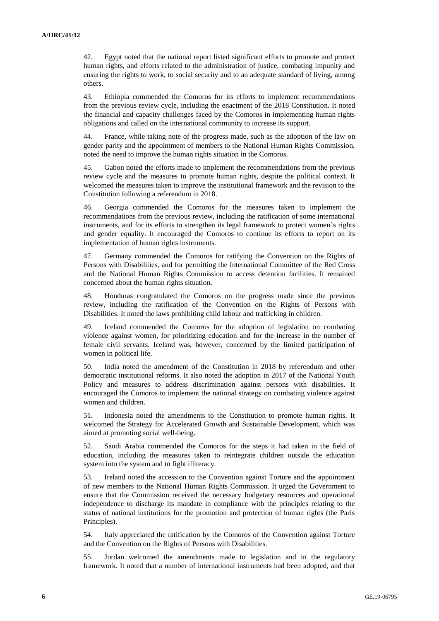42. Egypt noted that the national report listed significant efforts to promote and protect human rights, and efforts related to the administration of justice, combating impunity and ensuring the rights to work, to social security and to an adequate standard of living, among others.

43. Ethiopia commended the Comoros for its efforts to implement recommendations from the previous review cycle, including the enactment of the 2018 Constitution. It noted the financial and capacity challenges faced by the Comoros in implementing human rights obligations and called on the international community to increase its support.

44. France, while taking note of the progress made, such as the adoption of the law on gender parity and the appointment of members to the National Human Rights Commission, noted the need to improve the human rights situation in the Comoros.

45. Gabon noted the efforts made to implement the recommendations from the previous review cycle and the measures to promote human rights, despite the political context. It welcomed the measures taken to improve the institutional framework and the revision to the Constitution following a referendum in 2018.

46. Georgia commended the Comoros for the measures taken to implement the recommendations from the previous review, including the ratification of some international instruments, and for its efforts to strengthen its legal framework to protect women's rights and gender equality. It encouraged the Comoros to continue its efforts to report on its implementation of human rights instruments.

47. Germany commended the Comoros for ratifying the Convention on the Rights of Persons with Disabilities, and for permitting the International Committee of the Red Cross and the National Human Rights Commission to access detention facilities. It remained concerned about the human rights situation.

48. Honduras congratulated the Comoros on the progress made since the previous review, including the ratification of the Convention on the Rights of Persons with Disabilities. It noted the laws prohibiting child labour and trafficking in children.

49. Iceland commended the Comoros for the adoption of legislation on combating violence against women, for prioritizing education and for the increase in the number of female civil servants. Iceland was, however, concerned by the limited participation of women in political life.

50. India noted the amendment of the Constitution in 2018 by referendum and other democratic institutional reforms. It also noted the adoption in 2017 of the National Youth Policy and measures to address discrimination against persons with disabilities. It encouraged the Comoros to implement the national strategy on combating violence against women and children.

51. Indonesia noted the amendments to the Constitution to promote human rights. It welcomed the Strategy for Accelerated Growth and Sustainable Development, which was aimed at promoting social well-being.

52. Saudi Arabia commended the Comoros for the steps it had taken in the field of education, including the measures taken to reintegrate children outside the education system into the system and to fight illiteracy.

53. Ireland noted the accession to the Convention against Torture and the appointment of new members to the National Human Rights Commission. It urged the Government to ensure that the Commission received the necessary budgetary resources and operational independence to discharge its mandate in compliance with the principles relating to the status of national institutions for the promotion and protection of human rights (the Paris Principles).

54. Italy appreciated the ratification by the Comoros of the Convention against Torture and the Convention on the Rights of Persons with Disabilities.

55. Jordan welcomed the amendments made to legislation and in the regulatory framework. It noted that a number of international instruments had been adopted, and that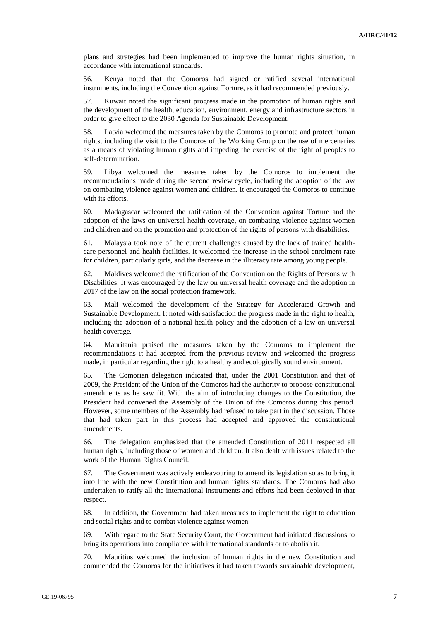plans and strategies had been implemented to improve the human rights situation, in accordance with international standards.

56. Kenya noted that the Comoros had signed or ratified several international instruments, including the Convention against Torture, as it had recommended previously.

57. Kuwait noted the significant progress made in the promotion of human rights and the development of the health, education, environment, energy and infrastructure sectors in order to give effect to the 2030 Agenda for Sustainable Development.

58. Latvia welcomed the measures taken by the Comoros to promote and protect human rights, including the visit to the Comoros of the Working Group on the use of mercenaries as a means of violating human rights and impeding the exercise of the right of peoples to self-determination.

59. Libya welcomed the measures taken by the Comoros to implement the recommendations made during the second review cycle, including the adoption of the law on combating violence against women and children. It encouraged the Comoros to continue with its efforts.

60. Madagascar welcomed the ratification of the Convention against Torture and the adoption of the laws on universal health coverage, on combating violence against women and children and on the promotion and protection of the rights of persons with disabilities.

61. Malaysia took note of the current challenges caused by the lack of trained healthcare personnel and health facilities. It welcomed the increase in the school enrolment rate for children, particularly girls, and the decrease in the illiteracy rate among young people.

62. Maldives welcomed the ratification of the Convention on the Rights of Persons with Disabilities. It was encouraged by the law on universal health coverage and the adoption in 2017 of the law on the social protection framework.

63. Mali welcomed the development of the Strategy for Accelerated Growth and Sustainable Development. It noted with satisfaction the progress made in the right to health, including the adoption of a national health policy and the adoption of a law on universal health coverage.

64. Mauritania praised the measures taken by the Comoros to implement the recommendations it had accepted from the previous review and welcomed the progress made, in particular regarding the right to a healthy and ecologically sound environment.

65. The Comorian delegation indicated that, under the 2001 Constitution and that of 2009, the President of the Union of the Comoros had the authority to propose constitutional amendments as he saw fit. With the aim of introducing changes to the Constitution, the President had convened the Assembly of the Union of the Comoros during this period. However, some members of the Assembly had refused to take part in the discussion. Those that had taken part in this process had accepted and approved the constitutional amendments.

66. The delegation emphasized that the amended Constitution of 2011 respected all human rights, including those of women and children. It also dealt with issues related to the work of the Human Rights Council.

67. The Government was actively endeavouring to amend its legislation so as to bring it into line with the new Constitution and human rights standards. The Comoros had also undertaken to ratify all the international instruments and efforts had been deployed in that respect.

68. In addition, the Government had taken measures to implement the right to education and social rights and to combat violence against women.

69. With regard to the State Security Court, the Government had initiated discussions to bring its operations into compliance with international standards or to abolish it.

70. Mauritius welcomed the inclusion of human rights in the new Constitution and commended the Comoros for the initiatives it had taken towards sustainable development,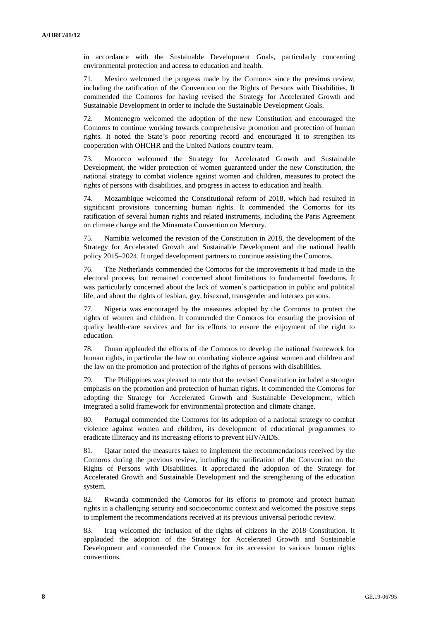in accordance with the Sustainable Development Goals, particularly concerning environmental protection and access to education and health.

71. Mexico welcomed the progress made by the Comoros since the previous review, including the ratification of the Convention on the Rights of Persons with Disabilities. It commended the Comoros for having revised the Strategy for Accelerated Growth and Sustainable Development in order to include the Sustainable Development Goals.

72. Montenegro welcomed the adoption of the new Constitution and encouraged the Comoros to continue working towards comprehensive promotion and protection of human rights. It noted the State's poor reporting record and encouraged it to strengthen its cooperation with OHCHR and the United Nations country team.

73. Morocco welcomed the Strategy for Accelerated Growth and Sustainable Development, the wider protection of women guaranteed under the new Constitution, the national strategy to combat violence against women and children, measures to protect the rights of persons with disabilities, and progress in access to education and health.

74. Mozambique welcomed the Constitutional reform of 2018, which had resulted in significant provisions concerning human rights. It commended the Comoros for its ratification of several human rights and related instruments, including the Paris Agreement on climate change and the Minamata Convention on Mercury.

75. Namibia welcomed the revision of the Constitution in 2018, the development of the Strategy for Accelerated Growth and Sustainable Development and the national health policy 2015–2024. It urged development partners to continue assisting the Comoros.

76. The Netherlands commended the Comoros for the improvements it had made in the electoral process, but remained concerned about limitations to fundamental freedoms. It was particularly concerned about the lack of women's participation in public and political life, and about the rights of lesbian, gay, bisexual, transgender and intersex persons.

77. Nigeria was encouraged by the measures adopted by the Comoros to protect the rights of women and children. It commended the Comoros for ensuring the provision of quality health-care services and for its efforts to ensure the enjoyment of the right to education.

78. Oman applauded the efforts of the Comoros to develop the national framework for human rights, in particular the law on combating violence against women and children and the law on the promotion and protection of the rights of persons with disabilities.

79. The Philippines was pleased to note that the revised Constitution included a stronger emphasis on the promotion and protection of human rights. It commended the Comoros for adopting the Strategy for Accelerated Growth and Sustainable Development, which integrated a solid framework for environmental protection and climate change.

80. Portugal commended the Comoros for its adoption of a national strategy to combat violence against women and children, its development of educational programmes to eradicate illiteracy and its increasing efforts to prevent HIV/AIDS.

81. Qatar noted the measures taken to implement the recommendations received by the Comoros during the previous review, including the ratification of the Convention on the Rights of Persons with Disabilities. It appreciated the adoption of the Strategy for Accelerated Growth and Sustainable Development and the strengthening of the education system.

82. Rwanda commended the Comoros for its efforts to promote and protect human rights in a challenging security and socioeconomic context and welcomed the positive steps to implement the recommendations received at its previous universal periodic review.

83. Iraq welcomed the inclusion of the rights of citizens in the 2018 Constitution. It applauded the adoption of the Strategy for Accelerated Growth and Sustainable Development and commended the Comoros for its accession to various human rights conventions.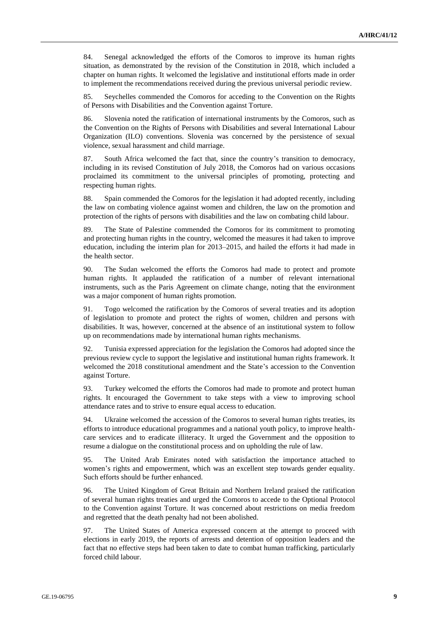84. Senegal acknowledged the efforts of the Comoros to improve its human rights situation, as demonstrated by the revision of the Constitution in 2018, which included a chapter on human rights. It welcomed the legislative and institutional efforts made in order to implement the recommendations received during the previous universal periodic review.

85. Seychelles commended the Comoros for acceding to the Convention on the Rights of Persons with Disabilities and the Convention against Torture.

86. Slovenia noted the ratification of international instruments by the Comoros, such as the Convention on the Rights of Persons with Disabilities and several International Labour Organization (ILO) conventions. Slovenia was concerned by the persistence of sexual violence, sexual harassment and child marriage.

87. South Africa welcomed the fact that, since the country's transition to democracy, including in its revised Constitution of July 2018, the Comoros had on various occasions proclaimed its commitment to the universal principles of promoting, protecting and respecting human rights.

88. Spain commended the Comoros for the legislation it had adopted recently, including the law on combating violence against women and children, the law on the promotion and protection of the rights of persons with disabilities and the law on combating child labour.

89. The State of Palestine commended the Comoros for its commitment to promoting and protecting human rights in the country, welcomed the measures it had taken to improve education, including the interim plan for 2013–2015, and hailed the efforts it had made in the health sector.

90. The Sudan welcomed the efforts the Comoros had made to protect and promote human rights. It applauded the ratification of a number of relevant international instruments, such as the Paris Agreement on climate change, noting that the environment was a major component of human rights promotion.

91. Togo welcomed the ratification by the Comoros of several treaties and its adoption of legislation to promote and protect the rights of women, children and persons with disabilities. It was, however, concerned at the absence of an institutional system to follow up on recommendations made by international human rights mechanisms.

92. Tunisia expressed appreciation for the legislation the Comoros had adopted since the previous review cycle to support the legislative and institutional human rights framework. It welcomed the 2018 constitutional amendment and the State's accession to the Convention against Torture.

93. Turkey welcomed the efforts the Comoros had made to promote and protect human rights. It encouraged the Government to take steps with a view to improving school attendance rates and to strive to ensure equal access to education.

94. Ukraine welcomed the accession of the Comoros to several human rights treaties, its efforts to introduce educational programmes and a national youth policy, to improve healthcare services and to eradicate illiteracy. It urged the Government and the opposition to resume a dialogue on the constitutional process and on upholding the rule of law.

95. The United Arab Emirates noted with satisfaction the importance attached to women's rights and empowerment, which was an excellent step towards gender equality. Such efforts should be further enhanced.

96. The United Kingdom of Great Britain and Northern Ireland praised the ratification of several human rights treaties and urged the Comoros to accede to the Optional Protocol to the Convention against Torture. It was concerned about restrictions on media freedom and regretted that the death penalty had not been abolished.

97. The United States of America expressed concern at the attempt to proceed with elections in early 2019, the reports of arrests and detention of opposition leaders and the fact that no effective steps had been taken to date to combat human trafficking, particularly forced child labour.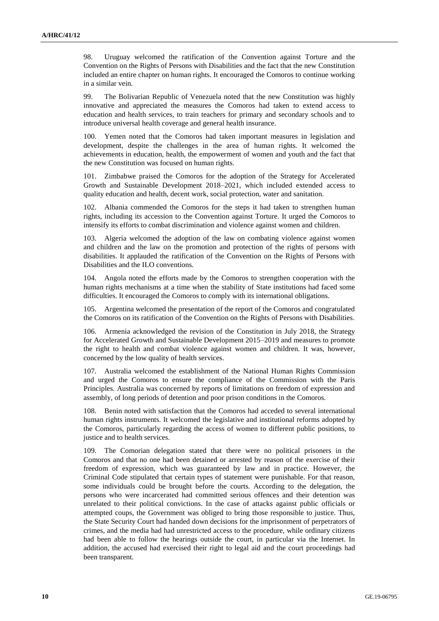98. Uruguay welcomed the ratification of the Convention against Torture and the Convention on the Rights of Persons with Disabilities and the fact that the new Constitution included an entire chapter on human rights. It encouraged the Comoros to continue working in a similar vein.

99. The Bolivarian Republic of Venezuela noted that the new Constitution was highly innovative and appreciated the measures the Comoros had taken to extend access to education and health services, to train teachers for primary and secondary schools and to introduce universal health coverage and general health insurance.

100. Yemen noted that the Comoros had taken important measures in legislation and development, despite the challenges in the area of human rights. It welcomed the achievements in education, health, the empowerment of women and youth and the fact that the new Constitution was focused on human rights.

101. Zimbabwe praised the Comoros for the adoption of the Strategy for Accelerated Growth and Sustainable Development 2018–2021, which included extended access to quality education and health, decent work, social protection, water and sanitation.

102. Albania commended the Comoros for the steps it had taken to strengthen human rights, including its accession to the Convention against Torture. It urged the Comoros to intensify its efforts to combat discrimination and violence against women and children.

103. Algeria welcomed the adoption of the law on combating violence against women and children and the law on the promotion and protection of the rights of persons with disabilities. It applauded the ratification of the Convention on the Rights of Persons with Disabilities and the ILO conventions.

104. Angola noted the efforts made by the Comoros to strengthen cooperation with the human rights mechanisms at a time when the stability of State institutions had faced some difficulties. It encouraged the Comoros to comply with its international obligations.

105. Argentina welcomed the presentation of the report of the Comoros and congratulated the Comoros on its ratification of the Convention on the Rights of Persons with Disabilities.

Armenia acknowledged the revision of the Constitution in July 2018, the Strategy for Accelerated Growth and Sustainable Development 2015–2019 and measures to promote the right to health and combat violence against women and children. It was, however, concerned by the low quality of health services.

107. Australia welcomed the establishment of the National Human Rights Commission and urged the Comoros to ensure the compliance of the Commission with the Paris Principles. Australia was concerned by reports of limitations on freedom of expression and assembly, of long periods of detention and poor prison conditions in the Comoros.

108. Benin noted with satisfaction that the Comoros had acceded to several international human rights instruments. It welcomed the legislative and institutional reforms adopted by the Comoros, particularly regarding the access of women to different public positions, to justice and to health services.

109. The Comorian delegation stated that there were no political prisoners in the Comoros and that no one had been detained or arrested by reason of the exercise of their freedom of expression, which was guaranteed by law and in practice. However, the Criminal Code stipulated that certain types of statement were punishable. For that reason, some individuals could be brought before the courts. According to the delegation, the persons who were incarcerated had committed serious offences and their detention was unrelated to their political convictions. In the case of attacks against public officials or attempted coups, the Government was obliged to bring those responsible to justice. Thus, the State Security Court had handed down decisions for the imprisonment of perpetrators of crimes, and the media had had unrestricted access to the procedure, while ordinary citizens had been able to follow the hearings outside the court, in particular via the Internet. In addition, the accused had exercised their right to legal aid and the court proceedings had been transparent.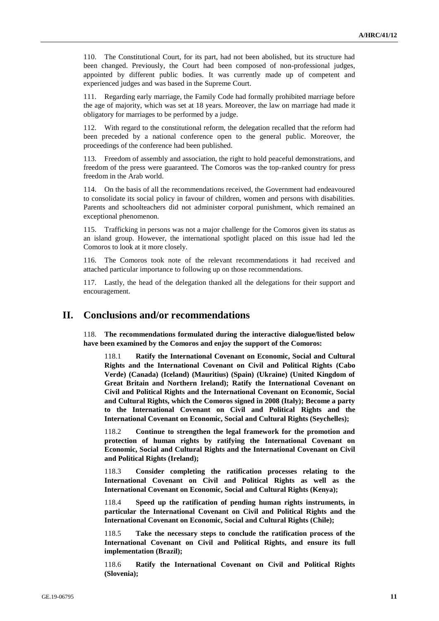110. The Constitutional Court, for its part, had not been abolished, but its structure had been changed. Previously, the Court had been composed of non-professional judges, appointed by different public bodies. It was currently made up of competent and experienced judges and was based in the Supreme Court.

111. Regarding early marriage, the Family Code had formally prohibited marriage before the age of majority, which was set at 18 years. Moreover, the law on marriage had made it obligatory for marriages to be performed by a judge.

112. With regard to the constitutional reform, the delegation recalled that the reform had been preceded by a national conference open to the general public. Moreover, the proceedings of the conference had been published.

113. Freedom of assembly and association, the right to hold peaceful demonstrations, and freedom of the press were guaranteed. The Comoros was the top-ranked country for press freedom in the Arab world.

114. On the basis of all the recommendations received, the Government had endeavoured to consolidate its social policy in favour of children, women and persons with disabilities. Parents and schoolteachers did not administer corporal punishment, which remained an exceptional phenomenon.

115. Trafficking in persons was not a major challenge for the Comoros given its status as an island group. However, the international spotlight placed on this issue had led the Comoros to look at it more closely.

116. The Comoros took note of the relevant recommendations it had received and attached particular importance to following up on those recommendations.

117. Lastly, the head of the delegation thanked all the delegations for their support and encouragement.

## **II. Conclusions and/or recommendations**

118. **The recommendations formulated during the interactive dialogue/listed below have been examined by the Comoros and enjoy the support of the Comoros:**

118.1 **Ratify the [International Covenant on Economic, Social and Cultural](https://www.ohchr.org/EN/ProfessionalInterest/Pages/CESCR.aspx)  [Rights](https://www.ohchr.org/EN/ProfessionalInterest/Pages/CESCR.aspx) and the [International Covenant on Civil and Political Rights](https://www.ohchr.org/EN/ProfessionalInterest/Pages/CCPR.aspx) (Cabo Verde) (Canada) (Iceland) (Mauritius) (Spain) (Ukraine) (United Kingdom of Great Britain and Northern Ireland); Ratify the International Covenant on Civil and Political Rights and the International Covenant on Economic, Social and Cultural Rights, which the Comoros signed in 2008 (Italy); Become a party to the International Covenant on Civil and Political Rights and the International Covenant on Economic, Social and Cultural Rights (Seychelles);**

118.2 **Continue to strengthen the legal framework for the promotion and protection of human rights by ratifying the International Covenant on Economic, Social and Cultural Rights and the International Covenant on Civil and Political Rights (Ireland);**

118.3 **Consider completing the ratification processes relating to the International Covenant on Civil and Political Rights as well as the International Covenant on Economic, Social and Cultural Rights (Kenya);**

118.4 **Speed up the ratification of pending human rights instruments, in particular the [International Covenant on Civil and Political Rights](https://www.ohchr.org/EN/ProfessionalInterest/Pages/CCPR.aspx) and the [International Covenant on Economic, Social and Cultural Rights](https://www.ohchr.org/EN/ProfessionalInterest/Pages/CESCR.aspx) (Chile);**

118.5 **Take the necessary steps to conclude the ratification process of the [International Covenant on Civil and Political Rights,](https://www.ohchr.org/EN/ProfessionalInterest/Pages/CCPR.aspx) and ensure its full implementation (Brazil);**

118.6 **Ratify the International Covenant on Civil and Political Rights (Slovenia);**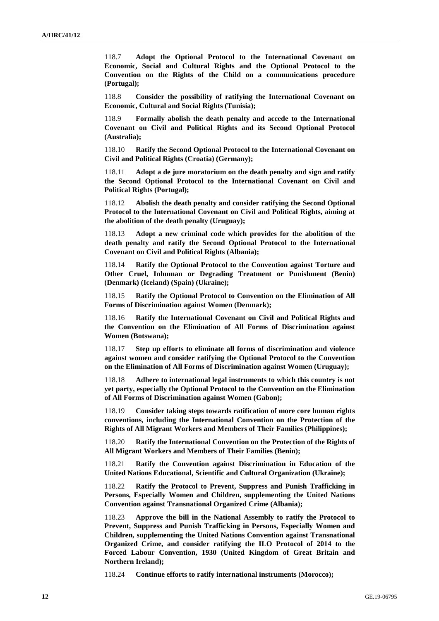118.7 **Adopt the Optional Protocol to the International Covenant on Economic, Social and Cultural Rights and the Optional Protocol to the Convention on the Rights of the Child on a communications procedure (Portugal);**

118.8 **Consider the possibility of ratifying the International Covenant on Economic, Cultural and Social Rights (Tunisia);**

118.9 **Formally abolish the death penalty and accede to the International Covenant on Civil and Political Rights and its Second Optional Protocol (Australia);**

118.10 **Ratify the Second Optional Protocol to the International Covenant on Civil and Political Rights (Croatia) (Germany);**

118.11 **Adopt a de jure moratorium on the death penalty and sign and ratify the Second Optional Protocol to the International Covenant on Civil and Political Rights (Portugal);**

118.12 **Abolish the death penalty and consider ratifying the Second Optional Protocol to the International Covenant on Civil and Political Rights, aiming at the abolition of the death penalty (Uruguay);**

118.13 **Adopt a new criminal code which provides for the abolition of the death penalty and ratify the Second Optional Protocol to the International Covenant on Civil and Political Rights (Albania);**

118.14 **Ratify the Optional Protocol to the Convention against Torture and Other Cruel, Inhuman or Degrading Treatment or Punishment (Benin) (Denmark) (Iceland) (Spain) (Ukraine);**

118.15 **Ratify the Optional Protocol to Convention on the Elimination of All Forms of Discrimination against Women (Denmark);**

118.16 **Ratify the International Covenant on Civil and Political Rights and the Convention on the Elimination of All Forms of Discrimination against Women (Botswana);**

118.17 **Step up efforts to eliminate all forms of discrimination and violence against women and consider ratifying the Optional Protocol to the Convention on the Elimination of All Forms of Discrimination against Women (Uruguay);**

118.18 **Adhere to international legal instruments to which this country is not yet party, especially the Optional Protocol to the Convention on the Elimination of All Forms of Discrimination against Women (Gabon);**

118.19 **Consider taking steps towards ratification of more core human rights conventions, including the International Convention on the Protection of the Rights of All Migrant Workers and Members of Their Families (Philippines);**

118.20 **Ratify the International Convention on the Protection of the Rights of All Migrant Workers and Members of Their Families (Benin);**

118.21 **Ratify the Convention against Discrimination in Education of the United Nations Educational, Scientific and Cultural Organization (Ukraine);**

118.22 **Ratify the Protocol to Prevent, Suppress and Punish Trafficking in Persons, Especially Women and Children, supplementing the United Nations Convention against Transnational Organized Crime (Albania);**

118.23 **Approve the bill in the National Assembly to ratify the Protocol to Prevent, Suppress and Punish Trafficking in Persons, Especially Women and Children, supplementing the United Nations Convention against Transnational Organized Crime, and consider ratifying the ILO Protocol of 2014 to the Forced Labour Convention, 1930 (United Kingdom of Great Britain and Northern Ireland);**

118.24 **Continue efforts to ratify international instruments (Morocco);**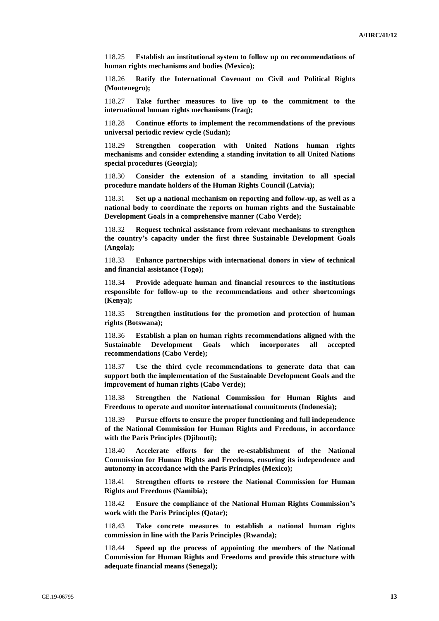118.25 **Establish an institutional system to follow up on recommendations of human rights mechanisms and bodies (Mexico);**

118.26 **Ratify the International Covenant on Civil and Political Rights (Montenegro);**

118.27 **Take further measures to live up to the commitment to the international human rights mechanisms (Iraq);**

118.28 **Continue efforts to implement the recommendations of the previous universal periodic review cycle (Sudan);**

118.29 **Strengthen cooperation with United Nations human rights mechanisms and consider extending a standing invitation to all United Nations special procedures (Georgia);**

118.30 **Consider the extension of a standing invitation to all special procedure mandate holders of the Human Rights Council (Latvia);**

118.31 **Set up a national mechanism on reporting and follow-up, as well as a national body to coordinate the reports on human rights and the Sustainable Development Goals in a comprehensive manner (Cabo Verde);**

118.32 **Request technical assistance from relevant mechanisms to strengthen the country's capacity under the first three Sustainable Development Goals (Angola);**

118.33 **Enhance partnerships with international donors in view of technical and financial assistance (Togo);**

118.34 **Provide adequate human and financial resources to the institutions responsible for follow-up to the recommendations and other shortcomings (Kenya);**

118.35 **Strengthen institutions for the promotion and protection of human rights (Botswana);**

118.36 **Establish a plan on human rights recommendations aligned with the Sustainable Development Goals which incorporates all accepted recommendations (Cabo Verde);**

118.37 **Use the third cycle recommendations to generate data that can support both the implementation of the Sustainable Development Goals and the improvement of human rights (Cabo Verde);**

118.38 **Strengthen the National Commission for Human Rights and Freedoms to operate and monitor international commitments (Indonesia);**

118.39 **Pursue efforts to ensure the proper functioning and full independence of the National Commission for Human Rights and Freedoms, in accordance with the Paris Principles (Djibouti);**

118.40 **Accelerate efforts for the re-establishment of the National Commission for Human Rights and Freedoms, ensuring its independence and autonomy in accordance with the Paris Principles (Mexico);**

118.41 **Strengthen efforts to restore the National Commission for Human Rights and Freedoms (Namibia);**

118.42 **Ensure the compliance of the National Human Rights Commission's work with the Paris Principles (Qatar);**

118.43 **Take concrete measures to establish a national human rights commission in line with the Paris Principles (Rwanda);**

118.44 **Speed up the process of appointing the members of the National Commission for Human Rights and Freedoms and provide this structure with adequate financial means (Senegal);**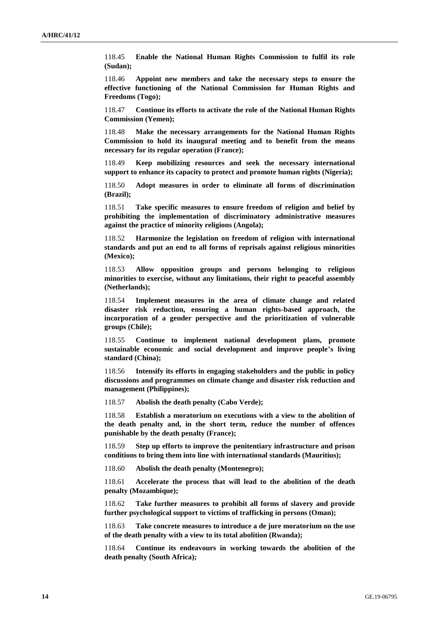118.45 **Enable the National Human Rights Commission to fulfil its role (Sudan);**

118.46 **Appoint new members and take the necessary steps to ensure the effective functioning of the National Commission for Human Rights and Freedoms (Togo);**

118.47 **Continue its efforts to activate the role of the National Human Rights Commission (Yemen);**

118.48 **Make the necessary arrangements for the National Human Rights Commission to hold its inaugural meeting and to benefit from the means necessary for its regular operation (France);**

118.49 **Keep mobilizing resources and seek the necessary international support to enhance its capacity to protect and promote human rights (Nigeria);**

118.50 **Adopt measures in order to eliminate all forms of discrimination (Brazil);**

118.51 **Take specific measures to ensure freedom of religion and belief by prohibiting the implementation of discriminatory administrative measures against the practice of minority religions (Angola);**

118.52 **Harmonize the legislation on freedom of religion with international standards and put an end to all forms of reprisals against religious minorities (Mexico);**

118.53 **Allow opposition groups and persons belonging to religious minorities to exercise, without any limitations, their right to peaceful assembly (Netherlands);**

118.54 **Implement measures in the area of climate change and related disaster risk reduction, ensuring a human rights-based approach, the incorporation of a gender perspective and the prioritization of vulnerable groups (Chile);**

118.55 **Continue to implement national development plans, promote sustainable economic and social development and improve people's living standard (China);**

118.56 **Intensify its efforts in engaging stakeholders and the public in policy discussions and programmes on climate change and disaster risk reduction and management (Philippines);**

118.57 **Abolish the death penalty (Cabo Verde);**

118.58 **Establish a moratorium on executions with a view to the abolition of the death penalty and, in the short term, reduce the number of offences punishable by the death penalty (France);**

118.59 **Step up efforts to improve the penitentiary infrastructure and prison conditions to bring them into line with international standards (Mauritius);**

118.60 **Abolish the death penalty (Montenegro);**

118.61 **Accelerate the process that will lead to the abolition of the death penalty (Mozambique);**

118.62 **Take further measures to prohibit all forms of slavery and provide further psychological support to victims of trafficking in persons (Oman);**

118.63 **Take concrete measures to introduce a de jure moratorium on the use of the death penalty with a view to its total abolition (Rwanda);**

118.64 **Continue its endeavours in working towards the abolition of the death penalty (South Africa);**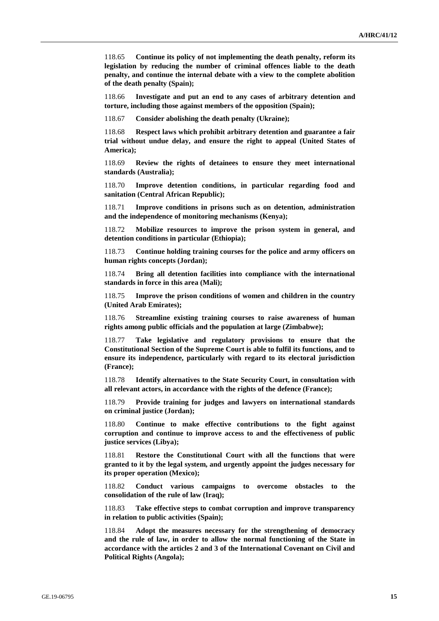118.65 **Continue its policy of not implementing the death penalty, reform its legislation by reducing the number of criminal offences liable to the death penalty, and continue the internal debate with a view to the complete abolition of the death penalty (Spain);**

118.66 **Investigate and put an end to any cases of arbitrary detention and torture, including those against members of the opposition (Spain);**

118.67 **Consider abolishing the death penalty (Ukraine);**

118.68 **Respect laws which prohibit arbitrary detention and guarantee a fair trial without undue delay, and ensure the right to appeal (United States of America);**

118.69 **Review the rights of detainees to ensure they meet international standards (Australia);**

118.70 **Improve detention conditions, in particular regarding food and sanitation (Central African Republic);**

118.71 **Improve conditions in prisons such as on detention, administration and the independence of monitoring mechanisms (Kenya);**

118.72 **Mobilize resources to improve the prison system in general, and detention conditions in particular (Ethiopia);**

118.73 **Continue holding training courses for the police and army officers on human rights concepts (Jordan);**

118.74 **Bring all detention facilities into compliance with the international standards in force in this area (Mali);**

118.75 **Improve the prison conditions of women and children in the country (United Arab Emirates);**

118.76 **Streamline existing training courses to raise awareness of human rights among public officials and the population at large (Zimbabwe);**

118.77 **Take legislative and regulatory provisions to ensure that the Constitutional Section of the Supreme Court is able to fulfil its functions, and to ensure its independence, particularly with regard to its electoral jurisdiction (France);**

118.78 **Identify alternatives to the State Security Court, in consultation with all relevant actors, in accordance with the rights of the defence (France);**

118.79 **Provide training for judges and lawyers on international standards on criminal justice (Jordan);**

118.80 **Continue to make effective contributions to the fight against corruption and continue to improve access to and the effectiveness of public justice services (Libya);**

118.81 **Restore the Constitutional Court with all the functions that were granted to it by the legal system, and urgently appoint the judges necessary for its proper operation (Mexico);**

118.82 **Conduct various campaigns to overcome obstacles to the consolidation of the rule of law (Iraq);**

118.83 **Take effective steps to combat corruption and improve transparency in relation to public activities (Spain);**

118.84 **Adopt the measures necessary for the strengthening of democracy and the rule of law, in order to allow the normal functioning of the State in accordance with the articles 2 and 3 of the International Covenant on Civil and Political Rights (Angola);**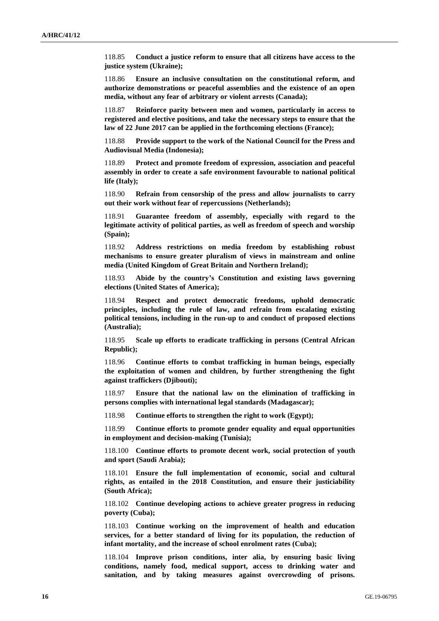118.85 **Conduct a justice reform to ensure that all citizens have access to the justice system (Ukraine);**

118.86 **Ensure an inclusive consultation on the constitutional reform, and authorize demonstrations or peaceful assemblies and the existence of an open media, without any fear of arbitrary or violent arrests (Canada);**

118.87 **Reinforce parity between men and women, particularly in access to registered and elective positions, and take the necessary steps to ensure that the law of 22 June 2017 can be applied in the forthcoming elections (France);**

118.88 **Provide support to the work of the National Council for the Press and Audiovisual Media (Indonesia);**

118.89 **Protect and promote freedom of expression, association and peaceful assembly in order to create a safe environment favourable to national political life (Italy);**

118.90 **Refrain from censorship of the press and allow journalists to carry out their work without fear of repercussions (Netherlands);**

118.91 **Guarantee freedom of assembly, especially with regard to the legitimate activity of political parties, as well as freedom of speech and worship (Spain);**

118.92 **Address restrictions on media freedom by establishing robust mechanisms to ensure greater pluralism of views in mainstream and online media (United Kingdom of Great Britain and Northern Ireland);**

118.93 **Abide by the country's Constitution and existing laws governing elections (United States of America);**

118.94 **Respect and protect democratic freedoms, uphold democratic principles, including the rule of law, and refrain from escalating existing political tensions, including in the run-up to and conduct of proposed elections (Australia);**

118.95 **Scale up efforts to eradicate trafficking in persons (Central African Republic);**

118.96 **Continue efforts to combat trafficking in human beings, especially the exploitation of women and children, by further strengthening the fight against traffickers (Djibouti);**

118.97 **Ensure that the national law on the elimination of trafficking in persons complies with international legal standards (Madagascar);**

118.98 **Continue efforts to strengthen the right to work (Egypt);**

118.99 **Continue efforts to promote gender equality and equal opportunities in employment and decision-making (Tunisia);**

118.100 **Continue efforts to promote decent work, social protection of youth and sport (Saudi Arabia);**

118.101 **Ensure the full implementation of economic, social and cultural rights, as entailed in the 2018 Constitution, and ensure their justiciability (South Africa);**

118.102 **Continue developing actions to achieve greater progress in reducing poverty (Cuba);**

118.103 **Continue working on the improvement of health and education services, for a better standard of living for its population, the reduction of infant mortality, and the increase of school enrolment rates (Cuba);**

118.104 **Improve prison conditions, inter alia, by ensuring basic living conditions, namely food, medical support, access to drinking water and sanitation, and by taking measures against overcrowding of prisons.**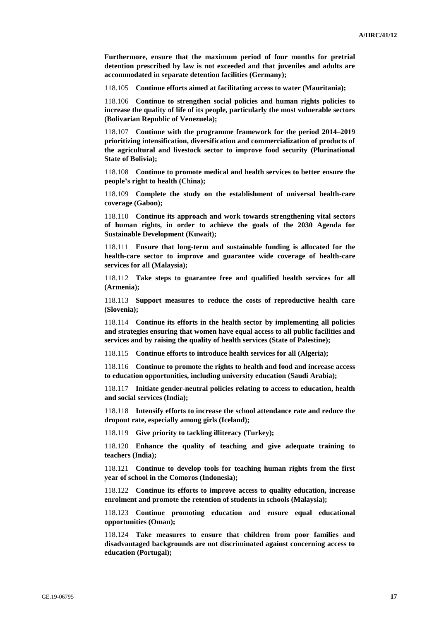**Furthermore, ensure that the maximum period of four months for pretrial detention prescribed by law is not exceeded and that juveniles and adults are accommodated in separate detention facilities (Germany);**

118.105 **Continue efforts aimed at facilitating access to water (Mauritania);**

118.106 **Continue to strengthen social policies and human rights policies to increase the quality of life of its people, particularly the most vulnerable sectors (Bolivarian Republic of Venezuela);**

118.107 **Continue with the programme framework for the period 2014–2019 prioritizing intensification, diversification and commercialization of products of the agricultural and livestock sector to improve food security (Plurinational State of Bolivia);**

118.108 **Continue to promote medical and health services to better ensure the people's right to health (China);**

118.109 **Complete the study on the establishment of universal health-care coverage (Gabon);**

118.110 **Continue its approach and work towards strengthening vital sectors of human rights, in order to achieve the goals of the 2030 Agenda for Sustainable Development (Kuwait);**

118.111 **Ensure that long-term and sustainable funding is allocated for the health-care sector to improve and guarantee wide coverage of health-care services for all (Malaysia);**

118.112 **Take steps to guarantee free and qualified health services for all (Armenia);**

118.113 **Support measures to reduce the costs of reproductive health care (Slovenia);**

118.114 **Continue its efforts in the health sector by implementing all policies and strategies ensuring that women have equal access to all public facilities and services and by raising the quality of health services (State of Palestine);**

118.115 **Continue efforts to introduce health services for all (Algeria);**

118.116 **Continue to promote the rights to health and food and increase access to education opportunities, including university education (Saudi Arabia);**

118.117 **Initiate gender-neutral policies relating to access to education, health and social services (India);**

118.118 **Intensify efforts to increase the school attendance rate and reduce the dropout rate, especially among girls (Iceland);**

118.119 **Give priority to tackling illiteracy (Turkey);**

118.120 **Enhance the quality of teaching and give adequate training to teachers (India);**

118.121 **Continue to develop tools for teaching human rights from the first year of school in the Comoros (Indonesia);**

118.122 **Continue its efforts to improve access to quality education, increase enrolment and promote the retention of students in schools (Malaysia);**

118.123 **Continue promoting education and ensure equal educational opportunities (Oman);**

118.124 **Take measures to ensure that children from poor families and disadvantaged backgrounds are not discriminated against concerning access to education (Portugal);**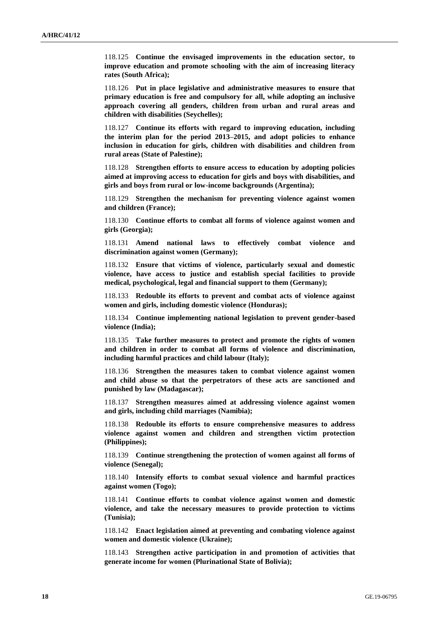118.125 **Continue the envisaged improvements in the education sector, to improve education and promote schooling with the aim of increasing literacy rates (South Africa);**

118.126 **Put in place legislative and administrative measures to ensure that primary education is free and compulsory for all, while adopting an inclusive approach covering all genders, children from urban and rural areas and children with disabilities (Seychelles);**

118.127 **Continue its efforts with regard to improving education, including the interim plan for the period 2013–2015, and adopt policies to enhance inclusion in education for girls, children with disabilities and children from rural areas (State of Palestine);**

118.128 **Strengthen efforts to ensure access to education by adopting policies aimed at improving access to education for girls and boys with disabilities, and girls and boys from rural or low-income backgrounds (Argentina);**

118.129 **Strengthen the mechanism for preventing violence against women and children (France);**

118.130 **Continue efforts to combat all forms of violence against women and girls (Georgia);**

118.131 **Amend national laws to effectively combat violence and discrimination against women (Germany);**

118.132 **Ensure that victims of violence, particularly sexual and domestic violence, have access to justice and establish special facilities to provide medical, psychological, legal and financial support to them (Germany);**

118.133 **Redouble its efforts to prevent and combat acts of violence against women and girls, including domestic violence (Honduras);**

118.134 **Continue implementing national legislation to prevent gender-based violence (India);**

118.135 **Take further measures to protect and promote the rights of women and children in order to combat all forms of violence and discrimination, including harmful practices and child labour (Italy);**

118.136 **Strengthen the measures taken to combat violence against women and child abuse so that the perpetrators of these acts are sanctioned and punished by law (Madagascar);**

118.137 **Strengthen measures aimed at addressing violence against women and girls, including child marriages (Namibia);**

118.138 **Redouble its efforts to ensure comprehensive measures to address violence against women and children and strengthen victim protection (Philippines);**

118.139 **Continue strengthening the protection of women against all forms of violence (Senegal);**

118.140 **Intensify efforts to combat sexual violence and harmful practices against women (Togo);**

118.141 **Continue efforts to combat violence against women and domestic violence, and take the necessary measures to provide protection to victims (Tunisia);**

118.142 **Enact legislation aimed at preventing and combating violence against women and domestic violence (Ukraine);**

118.143 **Strengthen active participation in and promotion of activities that generate income for women (Plurinational State of Bolivia);**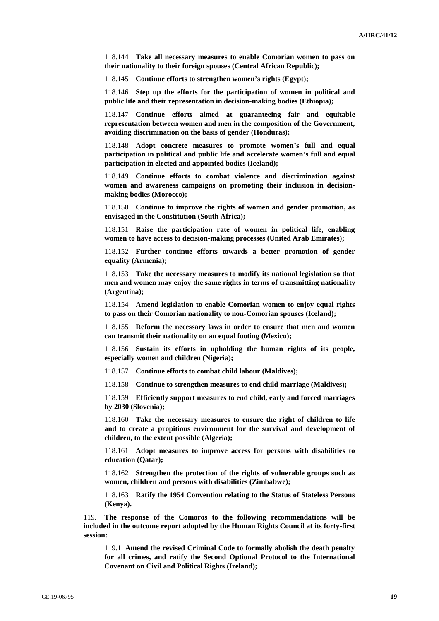118.144 **Take all necessary measures to enable Comorian women to pass on their nationality to their foreign spouses (Central African Republic);**

118.145 **Continue efforts to strengthen women's rights (Egypt);**

118.146 **Step up the efforts for the participation of women in political and public life and their representation in decision-making bodies (Ethiopia);**

118.147 **Continue efforts aimed at guaranteeing fair and equitable representation between women and men in the composition of the Government, avoiding discrimination on the basis of gender (Honduras);**

118.148 **Adopt concrete measures to promote women's full and equal participation in political and public life and accelerate women's full and equal participation in elected and appointed bodies (Iceland);**

118.149 **Continue efforts to combat violence and discrimination against women and awareness campaigns on promoting their inclusion in decisionmaking bodies (Morocco);**

118.150 **Continue to improve the rights of women and gender promotion, as envisaged in the Constitution (South Africa);**

118.151 **Raise the participation rate of women in political life, enabling women to have access to decision-making processes (United Arab Emirates);**

118.152 **Further continue efforts towards a better promotion of gender equality (Armenia);**

118.153 **Take the necessary measures to modify its national legislation so that men and women may enjoy the same rights in terms of transmitting nationality (Argentina);**

118.154 **Amend legislation to enable Comorian women to enjoy equal rights to pass on their Comorian nationality to non-Comorian spouses (Iceland);**

118.155 **Reform the necessary laws in order to ensure that men and women can transmit their nationality on an equal footing (Mexico);**

118.156 **Sustain its efforts in upholding the human rights of its people, especially women and children (Nigeria);**

118.157 **Continue efforts to combat child labour (Maldives);**

118.158 **Continue to strengthen measures to end child marriage (Maldives);**

118.159 **Efficiently support measures to end child, early and forced marriages by 2030 (Slovenia);**

118.160 **Take the necessary measures to ensure the right of children to life and to create a propitious environment for the survival and development of children, to the extent possible (Algeria);**

118.161 **Adopt measures to improve access for persons with disabilities to education (Qatar);**

118.162 **Strengthen the protection of the rights of vulnerable groups such as women, children and persons with disabilities (Zimbabwe);**

118.163 **Ratify the 1954 Convention relating to the Status of Stateless Persons (Kenya).**

119. **The response of the Comoros to the following recommendations will be included in the outcome report adopted by the Human Rights Council at its forty-first session:**

119.1 **Amend the revised Criminal Code to formally abolish the death penalty for all crimes, and ratify the Second Optional Protocol to the International Covenant on Civil and Political Rights (Ireland);**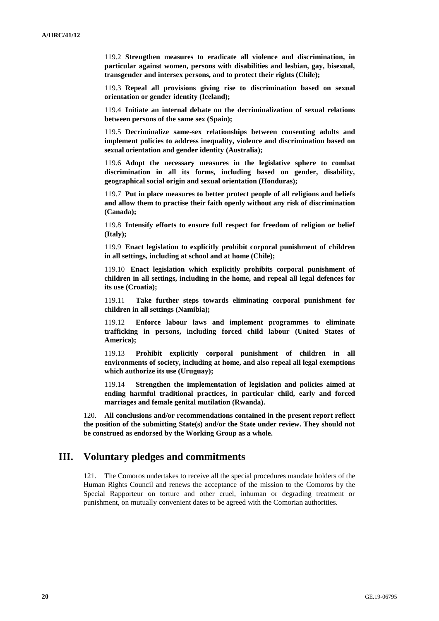119.2 **Strengthen measures to eradicate all violence and discrimination, in particular against women, persons with disabilities and lesbian, gay, bisexual, transgender and intersex persons, and to protect their rights (Chile);**

119.3 **Repeal all provisions giving rise to discrimination based on sexual orientation or gender identity (Iceland);**

119.4 **Initiate an internal debate on the decriminalization of sexual relations between persons of the same sex (Spain);**

119.5 **Decriminalize same-sex relationships between consenting adults and implement policies to address inequality, violence and discrimination based on sexual orientation and gender identity (Australia);**

119.6 **Adopt the necessary measures in the legislative sphere to combat discrimination in all its forms, including based on gender, disability, geographical social origin and sexual orientation (Honduras);**

119.7 **Put in place measures to better protect people of all religions and beliefs and allow them to practise their faith openly without any risk of discrimination (Canada);**

119.8 **Intensify efforts to ensure full respect for freedom of religion or belief (Italy);**

119.9 **Enact legislation to explicitly prohibit corporal punishment of children in all settings, including at school and at home (Chile);**

119.10 **Enact legislation which explicitly prohibits corporal punishment of children in all settings, including in the home, and repeal all legal defences for its use (Croatia);**

119.11 **Take further steps towards eliminating corporal punishment for children in all settings (Namibia);**

119.12 **Enforce labour laws and implement programmes to eliminate trafficking in persons, including forced child labour (United States of America);**

119.13 **Prohibit explicitly corporal punishment of children in all environments of society, including at home, and also repeal all legal exemptions which authorize its use (Uruguay);**

119.14 **Strengthen the implementation of legislation and policies aimed at ending harmful traditional practices, in particular child, early and forced marriages and female genital mutilation (Rwanda).**

120. **All conclusions and/or recommendations contained in the present report reflect the position of the submitting State(s) and/or the State under review. They should not be construed as endorsed by the Working Group as a whole.**

## **III. Voluntary pledges and commitments**

121. The Comoros undertakes to receive all the special procedures mandate holders of the Human Rights Council and renews the acceptance of the mission to the Comoros by the Special Rapporteur on torture and other cruel, inhuman or degrading treatment or punishment, on mutually convenient dates to be agreed with the Comorian authorities.